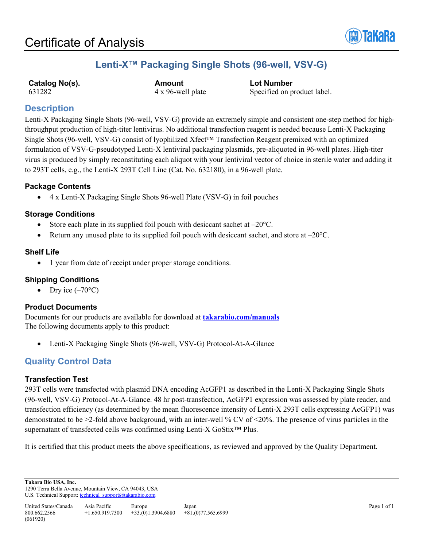

# **Lenti-X™ Packaging Single Shots (96-well, VSV-G)**

**Catalog No(s). Amount Lot Number**<br> **Amount Lot Number**<br> **Ax 96-well plate Specified on p** 

4 x 96-well plate Specified on product label.

## **Description**

Lenti-X Packaging Single Shots (96-well, VSV-G) provide an extremely simple and consistent one-step method for highthroughput production of high-titer lentivirus. No additional transfection reagent is needed because Lenti-X Packaging Single Shots (96-well, VSV-G) consist of lyophilized Xfect™ Transfection Reagent premixed with an optimized formulation of VSV-G-pseudotyped Lenti-X lentiviral packaging plasmids, pre-aliquoted in 96-well plates. High-titer virus is produced by simply reconstituting each aliquot with your lentiviral vector of choice in sterile water and adding it to 293T cells, e.g., the Lenti-X 293T Cell Line (Cat. No. 632180), in a 96-well plate.

## **Package Contents**

• 4 x Lenti-X Packaging Single Shots 96-well Plate (VSV-G) in foil pouches

## **Storage Conditions**

- Store each plate in its supplied foil pouch with desiccant sachet at  $-20^{\circ}$ C.
- Return any unused plate to its supplied foil pouch with desiccant sachet, and store at  $-20^{\circ}$ C.

## **Shelf Life**

• 1 year from date of receipt under proper storage conditions.

## **Shipping Conditions**

Dry ice  $(-70^{\circ}C)$ 

## **Product Documents**

Documents for our products are available for download at **[takarabio.com/manuals](http://www.takarabio.com/manuals)** The following documents apply to this product:

• Lenti-X Packaging Single Shots (96-well, VSV-G) Protocol-At-A-Glance

## **Quality Control Data**

## **Transfection Test**

293T cells were transfected with plasmid DNA encoding AcGFP1 as described in the Lenti-X Packaging Single Shots (96-well, VSV-G) Protocol-At-A-Glance. 48 hr post-transfection, AcGFP1 expression was assessed by plate reader, and transfection efficiency (as determined by the mean fluorescence intensity of Lenti-X 293T cells expressing AcGFP1) was demonstrated to be >2-fold above background, with an inter-well % CV of <20%. The presence of virus particles in the supernatant of transfected cells was confirmed using Lenti-X GoStix™ Plus.

It is certified that this product meets the above specifications, as reviewed and approved by the Quality Department.